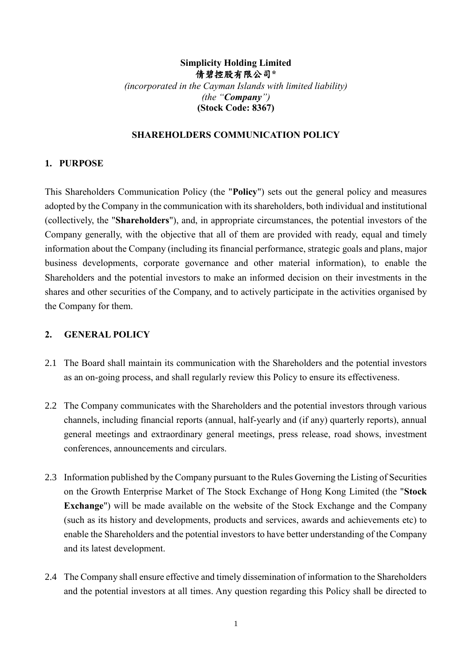## **Simplicity Holding Limited** 倩碧控股有限公司**\*** *(incorporated in the Cayman Islands with limited liability) (the "Company")* **(Stock Code: 8367)**

## **SHAREHOLDERS COMMUNICATION POLICY**

### **1. PURPOSE**

This Shareholders Communication Policy (the "**Policy**") sets out the general policy and measures adopted by the Company in the communication with its shareholders, both individual and institutional (collectively, the "**Shareholders**"), and, in appropriate circumstances, the potential investors of the Company generally, with the objective that all of them are provided with ready, equal and timely information about the Company (including its financial performance, strategic goals and plans, major business developments, corporate governance and other material information), to enable the Shareholders and the potential investors to make an informed decision on their investments in the shares and other securities of the Company, and to actively participate in the activities organised by the Company for them.

### **2. GENERAL POLICY**

- 2.1 The Board shall maintain its communication with the Shareholders and the potential investors as an on-going process, and shall regularly review this Policy to ensure its effectiveness.
- 2.2 The Company communicates with the Shareholders and the potential investors through various channels, including financial reports (annual, half-yearly and (if any) quarterly reports), annual general meetings and extraordinary general meetings, press release, road shows, investment conferences, announcements and circulars.
- 2.3 Information published by the Company pursuant to the Rules Governing the Listing of Securities on the Growth Enterprise Market of The Stock Exchange of Hong Kong Limited (the "**Stock Exchange**") will be made available on the website of the Stock Exchange and the Company (such as its history and developments, products and services, awards and achievements etc) to enable the Shareholders and the potential investors to have better understanding of the Company and its latest development.
- 2.4 The Company shall ensure effective and timely dissemination of information to the Shareholders and the potential investors at all times. Any question regarding this Policy shall be directed to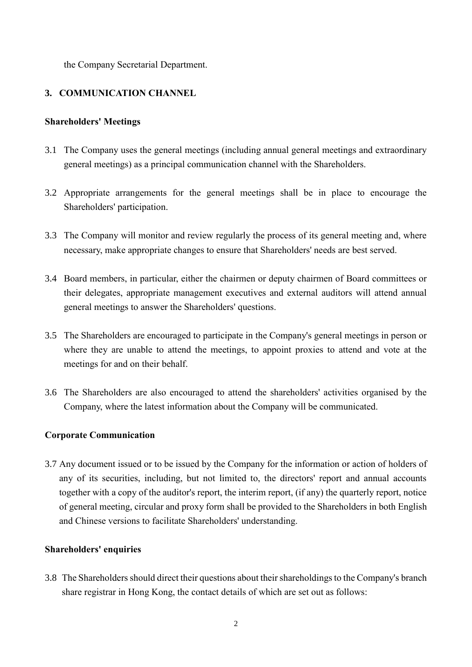the Company Secretarial Department.

## **3. COMMUNICATION CHANNEL**

### **Shareholders' Meetings**

- 3.1 The Company uses the general meetings (including annual general meetings and extraordinary general meetings) as a principal communication channel with the Shareholders.
- 3.2 Appropriate arrangements for the general meetings shall be in place to encourage the Shareholders' participation.
- 3.3 The Company will monitor and review regularly the process of its general meeting and, where necessary, make appropriate changes to ensure that Shareholders' needs are best served.
- 3.4 Board members, in particular, either the chairmen or deputy chairmen of Board committees or their delegates, appropriate management executives and external auditors will attend annual general meetings to answer the Shareholders' questions.
- 3.5 The Shareholders are encouraged to participate in the Company's general meetings in person or where they are unable to attend the meetings, to appoint proxies to attend and vote at the meetings for and on their behalf.
- 3.6 The Shareholders are also encouraged to attend the shareholders' activities organised by the Company, where the latest information about the Company will be communicated.

### **Corporate Communication**

3.7 Any document issued or to be issued by the Company for the information or action of holders of any of its securities, including, but not limited to, the directors' report and annual accounts together with a copy of the auditor's report, the interim report, (if any) the quarterly report, notice of general meeting, circular and proxy form shall be provided to the Shareholders in both English and Chinese versions to facilitate Shareholders' understanding.

#### **Shareholders' enquiries**

3.8 The Shareholders should direct their questions about their shareholdings to the Company's branch share registrar in Hong Kong, the contact details of which are set out as follows: